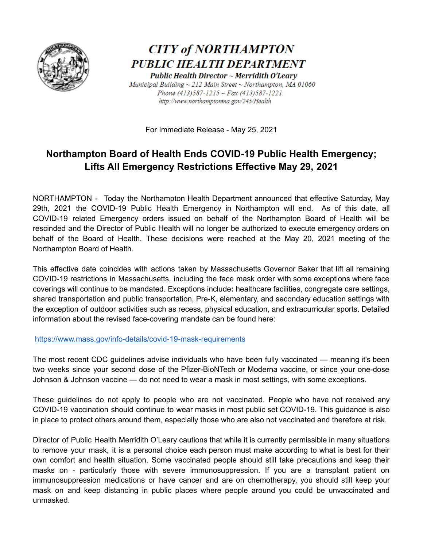

## **CITY of NORTHAMPTON** PUBLIC HEALTH DEPARTMENT

Public Health Director ~ Merridith O'Leary Municipal Building ~ 212 Main Street ~ Northampton, MA 01060 Phone  $(413)587 - 1215 - Fax$   $(413)587 - 1221$ http://www.northamptonma.gov/245/Health

For Immediate Release - May 25, 2021

## **Northampton Board of Health Ends COVID-19 Public Health Emergency; Lifts All Emergency Restrictions Effective May 29, 2021**

NORTHAMPTON - Today the Northampton Health Department announced that effective Saturday, May 29th, 2021 the COVID-19 Public Health Emergency in Northampton will end. As of this date, all COVID-19 related Emergency orders issued on behalf of the Northampton Board of Health will be rescinded and the Director of Public Health will no longer be authorized to execute emergency orders on behalf of the Board of Health. These decisions were reached at the May 20, 2021 meeting of the Northampton Board of Health.

This effective date coincides with actions taken by Massachusetts Governor Baker that lift all remaining COVID-19 restrictions in Massachusetts, including the face mask order with some exceptions where face coverings will continue to be mandated. Exceptions include**:** healthcare facilities, congregate care settings, shared transportation and public transportation, Pre-K, elementary, and secondary education settings with the exception of outdoor activities such as recess, physical education, and extracurricular sports. Detailed information about the revised face-covering mandate can be found here:

<https://www.mass.gov/info-details/covid-19-mask-requirements>

The most recent CDC guidelines advise individuals who have been fully vaccinated — meaning it's been two weeks since your second dose of the Pfizer-BioNTech or Moderna vaccine, or since your one-dose Johnson & Johnson vaccine — do not need to wear a mask in most settings, with some exceptions.

These guidelines do not apply to people who are not vaccinated. People who have not received any COVID-19 vaccination should continue to wear masks in most public set COVID-19. This guidance is also in place to protect others around them, especially those who are also not vaccinated and therefore at risk.

Director of Public Health Merridith O'Leary cautions that while it is currently permissible in many situations to remove your mask, it is a personal choice each person must make according to what is best for their own comfort and health situation. Some vaccinated people should still take precautions and keep their masks on - particularly those with severe immunosuppression. If you are a transplant patient on immunosuppression medications or have cancer and are on chemotherapy, you should still keep your mask on and keep distancing in public places where people around you could be unvaccinated and unmasked.